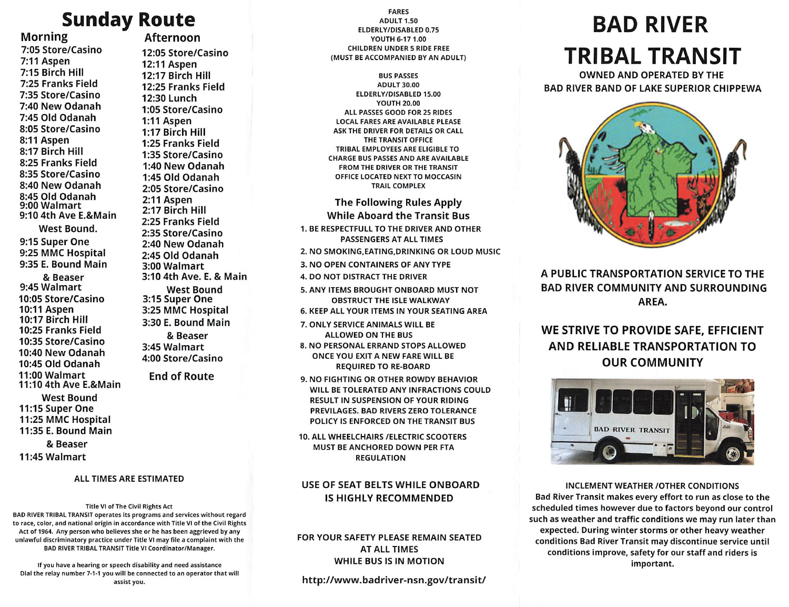Afternoon

12:05 Store/Casino 12:11 Aspen 12:17 Birch Hill 12:25 Franks Field 12:30 Lunch 1:05 Store/Casino 1:11 Aspen 1:17 Birch Hill 1:25 Franks Field 1:35 Store/Casino 1:40 New Odanah 1:45 Old Odanah 2:05 Store/Casino 2:11 Aspen 2:17 Birch Hill 2:25 Franks Field 2:35 Store/Casino 2:40 New Odanah 2:45 Old Odanah 3:00 Walmart

3:10 4th Ave. E. & Main West Bound 3:15 Super One 3:25 MMC Hospital 3:30 E. Bound Main & Beaser 3:45 Walmart 4:00 Store/Casino

End of Route

## Morning

7:05 Store/Casino 7:11 Aspen 7:15 Birch HIM 7:25 Franks Field 7:35 Store/Casino 7:40 New Odanah 7:45 Old Odanah 8:05 Store/Casino 8:11 Aspen 8:17 Birch Hill 8:25 Franks Field 8:35 Store/Casino 8:40 New Odanah 8:45 Old Odanah 9:00 Walmart 9:10 4th AveE.&Main West Bound. 9:15 Super One 9:25 MMC Hospital 9:35 E. Bound Main & Beaser 9:45 Walmart 10:05 Store/Casino 10:11 Aspen 10:17 Birch Hill 10:25 Franks Field 10:35 Store/Casino 10:40 New Odanah 10:45 Old Odanah 11:00 Walmart 11:10 4th Ave E.&MaIn West Bound 11:15 Super One 11:25 MMC Hospital 11:35 E. Bound Main & Beaser 11:45 Walmart

## ALL TIMES ARE ESTIMATED

Title VI of The Civil Rights Act BAD RIVER TRIBAL TRANSIT operates its programs and services without regard to race, color, and national origin in accordance with Title VI of the Civil Rights Act of 1964. Any person who believes she or he has been aggrieved by any unlawful discriminatory practice under Title VI may file a complaint with the BAD RIVER TRIBAL TRANSIT Title VI Coordinator/Manager.

If you have a hearing or speech disability and need assistance Dial the relay number 7-1-1 you will be connected to an operator that will

FARES ADULT 1.50 ELDERLY/DISABLED 0.75 YOUTH 6-17 1.00 CHILDREN UNDER 5 RIDE FREE (MUST BE ACCOMPANIED BY AN ADULT)

## BUS PASSES ADULT 30.00 ELDERLY/DISABLED 15.00 YOUTH 20.00 ALL PASSES GOOD FOR 25 RIDES LOCAL FARES ARE AVAILABLE PLEASE ASK THE DRIVER FOR DETAILS OR CALL THE TRANSIT OFFICE TRIBAL EMPLOYEES ARE ELIGIBLE TO CHARGE BUS PASSES AND ARE AVAILABLE FROM THE DRIVER OR THE TRANSIT OFFICE LOCATED NEXT TO MOCCASIN TRAIL COMPLEX

The Following Rules Apply While Aboard the Transit Bus 1. BE RESPECTFULL TO THE DRIVER AND OTHER PASSENGERS AT ALL TIMES 2. NO SMOKING,EATING,DRINKING OR LOUD MUSIC 3. NO OPEN CONTAINERS OF ANY TYPE 5. ANY ITEMS BROUGHT ONBOARD MUST NOT OBSTRUCT THE ISLE WALKWAY 6. KEEP ALL YOUR ITEMS IN YOUR SEATING AREA 7. ONLY SERVICE ANIMALS WILL BE ALLOWED ON THE BUS 8. NO PERSONAL ERRAND STOPS ALLOWED ONCE YOU EXIT A NEW FARE WILL BE

9. NO FIGHTING OR OTHER ROWDY BEHAVIOR WILL BE TOLERATED ANY INFRACTIONS COULD RESULT IN SUSPENSION OF YOUR RIDING PREVILAGES. BAD RIVERS ZERO TOLERANCE POLICY IS ENFORCED ON THE TRANSIT BUS

MUST BE ANCHORED DOWN PER FTA REGULATION

REQUIRED TO RE-BOARD

## USE OF SEAT BELTS WHILE ONBOARD IS HIGHLY RECOMMENDED

## FOR YOUR SAFETY PLEASE REMAIN SEATED AT ALL TIMES WHILE BUS IS IN MOTION

http://www.badriver-nsn.gov/transit/

# Sunday Route ELDERLY/DISABLED 0.75 **BAD RIVER** TRIBAL TRANSIT

OWNED AND OPERATED BY THE BAD RIVER BAND OF LAKE SUPERIOR CHIPPEWA



4. DO NOT DISTRACT THE DRIVER A PUBLIC TRANSPORTATION SERVICE TO THE BAD RIVER COMMUNITY AND SURROUNDING AREA.

## WE STRIVE TO PROVIDE SAFE, EFFICIENT AND RELIABLE TRANSPORTATION TO OUR COMMUNITY



INCLEMENT WEATHER /OTHER CONDITIONS Bad River Transit makes every effort to run as close to the scheduled times however due to factors beyond our control such as weather and traffic conditions we may run later than expected. During winter storms or other heavy weather conditions Bad River Transit may discontinue service until conditions improve, safety for our staff and riders is important.